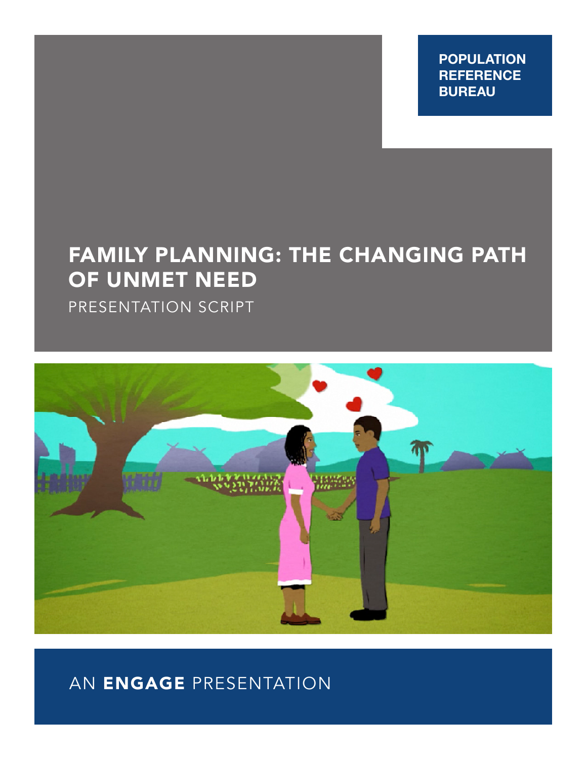**POPULATION REFERENCE BUREAU**

# FAMILY PLANNING: THE CHANGING PATH OF UNMET NEED

PRESENTATION SCRIPT



# AN ENGAGE PRESENTATION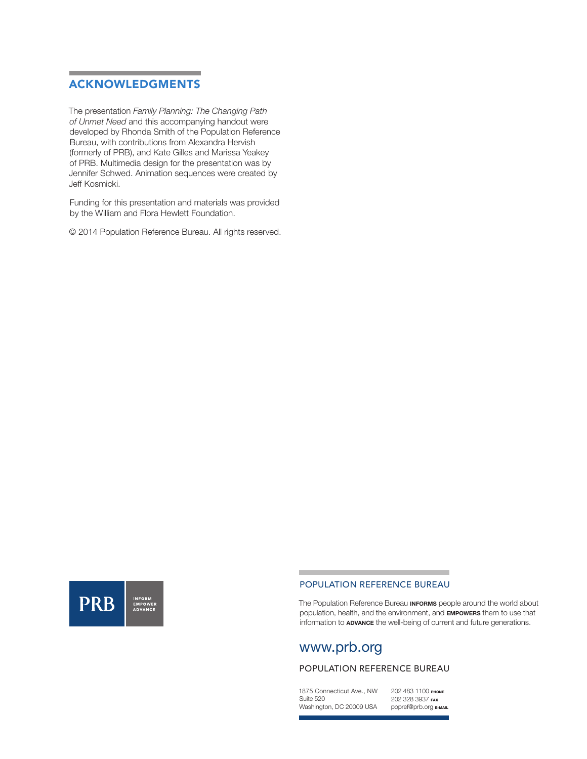# ACKNOWLEDGMENTS

The presentation *Family Planning: The Changing Path of Unmet Need* and this accompanying handout were developed by Rhonda Smith of the Population Reference Bureau, with contributions from Alexandra Hervish (formerly of PRB), and Kate Gilles and Marissa Yeakey of PRB. Multimedia design for the presentation was by Jennifer Schwed. Animation sequences were created by Jeff Kosmicki.

Funding for this presentation and materials was provided by the William and Flora Hewlett Foundation.

© 2014 Population Reference Bureau. All rights reserved.



#### POPULATION REFERENCE BUREAU

The Population Reference Bureau **INFORMS** people around the world about population, health, and the environment, and **EMPOWERS** them to use that information to **ADVANCE** the well-being of current and future generations.

# www.prb.org

## POPULATION REFERENCE BUREAU

1875 Connecticut Ave., NW Suite 520 Washington, DC 20009 USA

202 483 1100 PHONE 202 328 3937 FAX popref@prb.org E-MAIL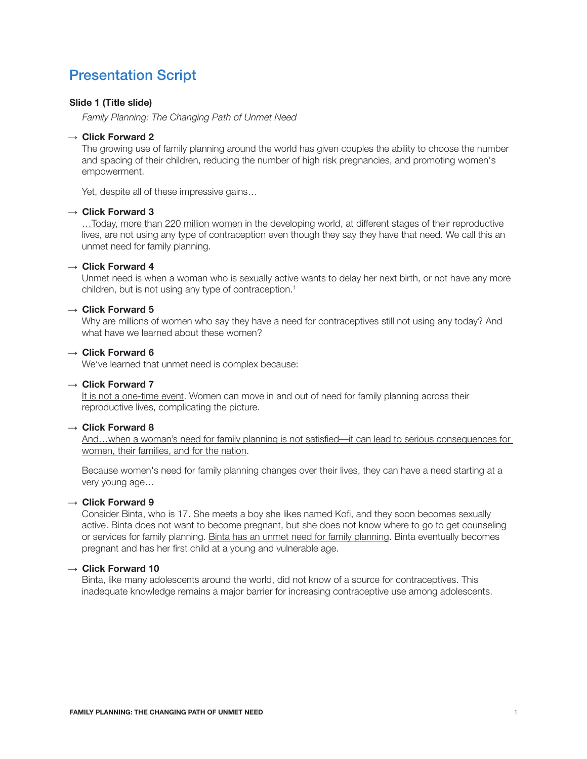# Presentation Script

## **Slide 1 (Title slide)**

*Family Planning: The Changing Path of Unmet Need*

#### → **Click Forward 2**

The growing use of family planning around the world has given couples the ability to choose the number and spacing of their children, reducing the number of high risk pregnancies, and promoting women's empowerment.

Yet, despite all of these impressive gains…

# → **Click Forward 3**

…Today, more than 220 million women in the developing world, at different stages of their reproductive lives, are not using any type of contraception even though they say they have that need. We call this an unmet need for family planning.

#### → **Click Forward 4**

Unmet need is when a woman who is sexually active wants to delay her next birth, or not have any more children, but is not using any type of contraception.<sup>1</sup>

#### → **Click Forward 5**

Why are millions of women who say they have a need for contraceptives still not using any today? And what have we learned about these women?

# → **Click Forward 6**

We've learned that unmet need is complex because:

#### → **Click Forward 7**

It is not a one-time event. Women can move in and out of need for family planning across their reproductive lives, complicating the picture.

#### → **Click Forward 8**

And…when a woman's need for family planning is not satisfied—it can lead to serious consequences for women, their families, and for the nation.

Because women's need for family planning changes over their lives, they can have a need starting at a very young age…

#### → **Click Forward 9**

Consider Binta, who is 17. She meets a boy she likes named Kofi, and they soon becomes sexually active. Binta does not want to become pregnant, but she does not know where to go to get counseling or services for family planning. Binta has an unmet need for family planning. Binta eventually becomes pregnant and has her first child at a young and vulnerable age.

# → **Click Forward 10**

Binta, like many adolescents around the world, did not know of a source for contraceptives. This inadequate knowledge remains a major barrier for increasing contraceptive use among adolescents.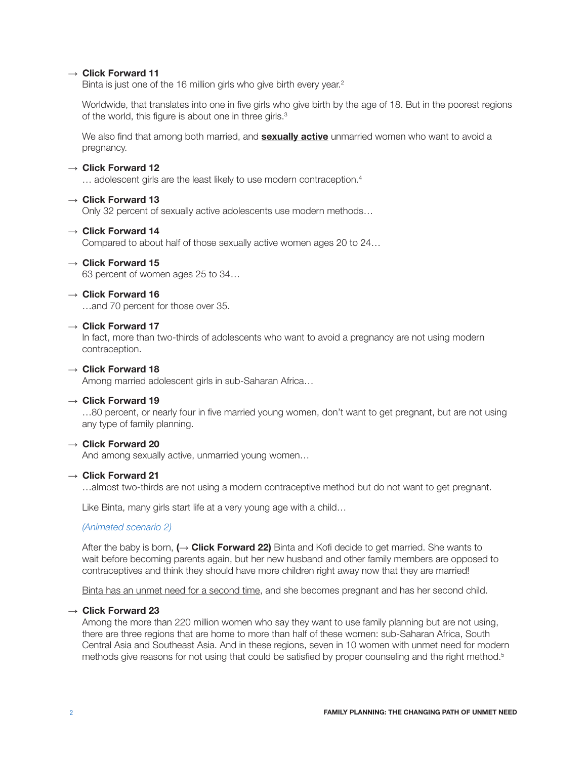# → **Click Forward 11**

Binta is just one of the 16 million girls who give birth every year.<sup>2</sup>

Worldwide, that translates into one in five girls who give birth by the age of 18. But in the poorest regions of the world, this figure is about one in three girls.<sup>3</sup>

We also find that among both married, and **sexually active** unmarried women who want to avoid a pregnancy.

#### → **Click Forward 12**

... adolescent girls are the least likely to use modern contraception.<sup>4</sup>

# → **Click Forward 13**

Only 32 percent of sexually active adolescents use modern methods…

#### → **Click Forward 14**

Compared to about half of those sexually active women ages 20 to 24…

## → **Click Forward 15**

63 percent of women ages 25 to 34…

#### → **Click Forward 16**

…and 70 percent for those over 35.

## → **Click Forward 17**

In fact, more than two-thirds of adolescents who want to avoid a pregnancy are not using modern contraception.

#### → **Click Forward 18**

Among married adolescent girls in sub-Saharan Africa…

#### → **Click Forward 19**

…80 percent, or nearly four in five married young women, don't want to get pregnant, but are not using any type of family planning.

# → **Click Forward 20**

And among sexually active, unmarried young women…

## → **Click Forward 21**

…almost two-thirds are not using a modern contraceptive method but do not want to get pregnant.

Like Binta, many girls start life at a very young age with a child…

#### *(Animated scenario 2)*

After the baby is born, **(**→ **Click Forward 22)** Binta and Kofi decide to get married. She wants to wait before becoming parents again, but her new husband and other family members are opposed to contraceptives and think they should have more children right away now that they are married!

Binta has an unmet need for a second time, and she becomes pregnant and has her second child.

#### → **Click Forward 23**

Among the more than 220 million women who say they want to use family planning but are not using, there are three regions that are home to more than half of these women: sub-Saharan Africa, South Central Asia and Southeast Asia. And in these regions, seven in 10 women with unmet need for modern methods give reasons for not using that could be satisfied by proper counseling and the right method.<sup>5</sup>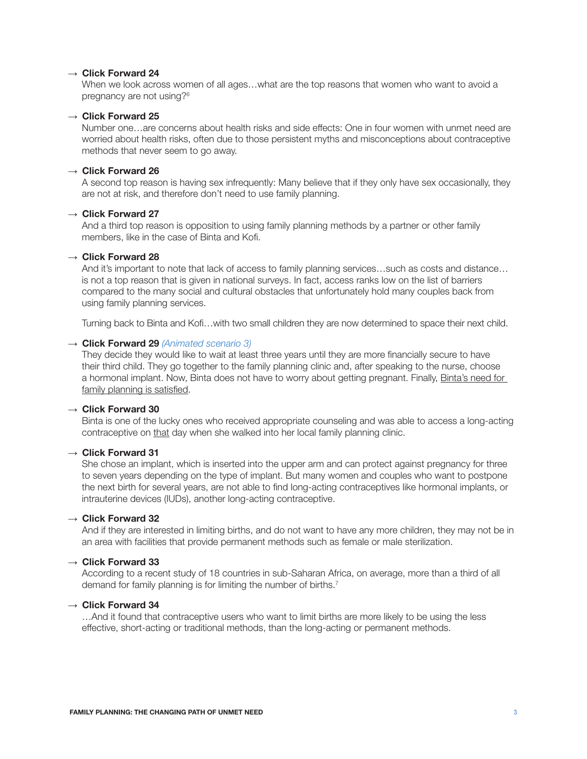#### → **Click Forward 24**

When we look across women of all ages…what are the top reasons that women who want to avoid a pregnancy are not using?6

# → **Click Forward 25**

Number one…are concerns about health risks and side effects: One in four women with unmet need are worried about health risks, often due to those persistent myths and misconceptions about contraceptive methods that never seem to go away.

#### → **Click Forward 26**

A second top reason is having sex infrequently: Many believe that if they only have sex occasionally, they are not at risk, and therefore don't need to use family planning.

# → **Click Forward 27**

And a third top reason is opposition to using family planning methods by a partner or other family members, like in the case of Binta and Kofi.

#### → **Click Forward 28**

And it's important to note that lack of access to family planning services…such as costs and distance… is not a top reason that is given in national surveys. In fact, access ranks low on the list of barriers compared to the many social and cultural obstacles that unfortunately hold many couples back from using family planning services.

Turning back to Binta and Kofi…with two small children they are now determined to space their next child.

#### → **Click Forward 29** *(Animated scenario 3)*

They decide they would like to wait at least three years until they are more financially secure to have their third child. They go together to the family planning clinic and, after speaking to the nurse, choose a hormonal implant. Now, Binta does not have to worry about getting pregnant. Finally, Binta's need for family planning is satisfied.

#### → **Click Forward 30**

Binta is one of the lucky ones who received appropriate counseling and was able to access a long-acting contraceptive on that day when she walked into her local family planning clinic.

#### → **Click Forward 31**

She chose an implant, which is inserted into the upper arm and can protect against pregnancy for three to seven years depending on the type of implant. But many women and couples who want to postpone the next birth for several years, are not able to find long-acting contraceptives like hormonal implants, or intrauterine devices (IUDs), another long-acting contraceptive.

#### → **Click Forward 32**

And if they are interested in limiting births, and do not want to have any more children, they may not be in an area with facilities that provide permanent methods such as female or male sterilization.

#### → **Click Forward 33**

According to a recent study of 18 countries in sub-Saharan Africa, on average, more than a third of all demand for family planning is for limiting the number of births.<sup>7</sup>

#### → **Click Forward 34**

…And it found that contraceptive users who want to limit births are more likely to be using the less effective, short-acting or traditional methods, than the long-acting or permanent methods.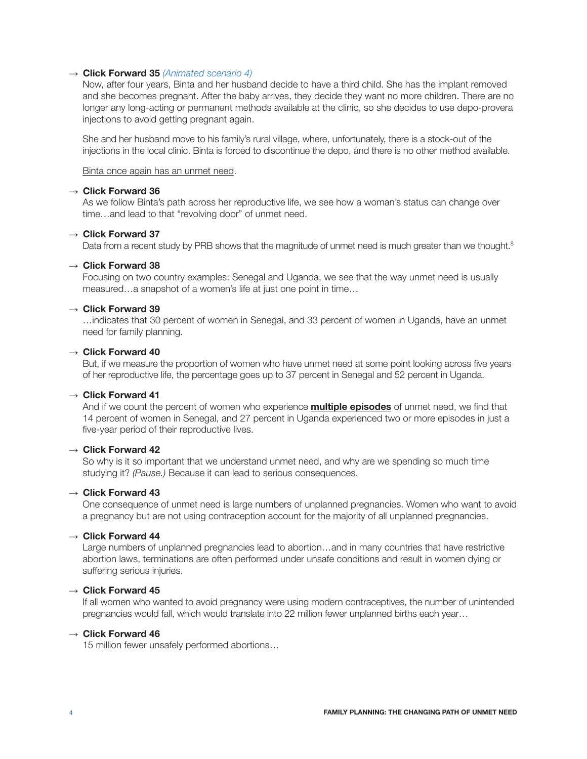## → **Click Forward 35** *(Animated scenario 4)*

Now, after four years, Binta and her husband decide to have a third child. She has the implant removed and she becomes pregnant. After the baby arrives, they decide they want no more children. There are no longer any long-acting or permanent methods available at the clinic, so she decides to use depo-provera injections to avoid getting pregnant again.

She and her husband move to his family's rural village, where, unfortunately, there is a stock-out of the injections in the local clinic. Binta is forced to discontinue the depo, and there is no other method available.

#### Binta once again has an unmet need.

# → **Click Forward 36**

As we follow Binta's path across her reproductive life, we see how a woman's status can change over time…and lead to that "revolving door" of unmet need.

# → **Click Forward 37**

Data from a recent study by PRB shows that the magnitude of unmet need is much greater than we thought.<sup>8</sup>

#### → **Click Forward 38**

Focusing on two country examples: Senegal and Uganda, we see that the way unmet need is usually measured…a snapshot of a women's life at just one point in time…

#### → **Click Forward 39**

…indicates that 30 percent of women in Senegal, and 33 percent of women in Uganda, have an unmet need for family planning.

#### → **Click Forward 40**

But, if we measure the proportion of women who have unmet need at some point looking across five years of her reproductive life, the percentage goes up to 37 percent in Senegal and 52 percent in Uganda.

# → **Click Forward 41**

And if we count the percent of women who experience **multiple episodes** of unmet need, we find that 14 percent of women in Senegal, and 27 percent in Uganda experienced two or more episodes in just a five-year period of their reproductive lives.

# → **Click Forward 42**

So why is it so important that we understand unmet need, and why are we spending so much time studying it? *(Pause.)* Because it can lead to serious consequences.

# → **Click Forward 43**

One consequence of unmet need is large numbers of unplanned pregnancies. Women who want to avoid a pregnancy but are not using contraception account for the majority of all unplanned pregnancies.

#### → **Click Forward 44**

Large numbers of unplanned pregnancies lead to abortion…and in many countries that have restrictive abortion laws, terminations are often performed under unsafe conditions and result in women dying or suffering serious injuries.

# → **Click Forward 45**

If all women who wanted to avoid pregnancy were using modern contraceptives, the number of unintended pregnancies would fall, which would translate into 22 million fewer unplanned births each year…

# → **Click Forward 46**

15 million fewer unsafely performed abortions…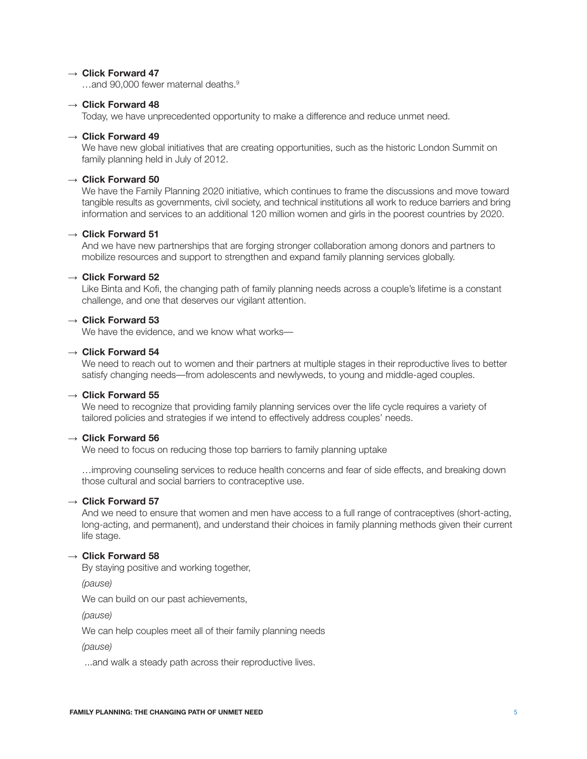#### → **Click Forward 47**

and 90,000 fewer maternal deaths.<sup>9</sup>

#### → **Click Forward 48**

Today, we have unprecedented opportunity to make a difference and reduce unmet need.

#### → **Click Forward 49**

We have new global initiatives that are creating opportunities, such as the historic London Summit on family planning held in July of 2012.

#### → **Click Forward 50**

We have the Family Planning 2020 initiative, which continues to frame the discussions and move toward tangible results as governments, civil society, and technical institutions all work to reduce barriers and bring information and services to an additional 120 million women and girls in the poorest countries by 2020.

# → **Click Forward 51**

And we have new partnerships that are forging stronger collaboration among donors and partners to mobilize resources and support to strengthen and expand family planning services globally.

#### → **Click Forward 52**

Like Binta and Kofi, the changing path of family planning needs across a couple's lifetime is a constant challenge, and one that deserves our vigilant attention.

## → **Click Forward 53**

We have the evidence, and we know what works—

#### → **Click Forward 54**

We need to reach out to women and their partners at multiple stages in their reproductive lives to better satisfy changing needs—from adolescents and newlyweds, to young and middle-aged couples.

# → **Click Forward 55**

We need to recognize that providing family planning services over the life cycle requires a variety of tailored policies and strategies if we intend to effectively address couples' needs.

### → **Click Forward 56**

We need to focus on reducing those top barriers to family planning uptake

…improving counseling services to reduce health concerns and fear of side effects, and breaking down those cultural and social barriers to contraceptive use.

## → **Click Forward 57**

And we need to ensure that women and men have access to a full range of contraceptives (short-acting, long-acting, and permanent), and understand their choices in family planning methods given their current life stage.

# → **Click Forward 58**

By staying positive and working together,

*(pause)*

We can build on our past achievements,

*(pause)*

We can help couples meet all of their family planning needs

*(pause)*

...and walk a steady path across their reproductive lives.